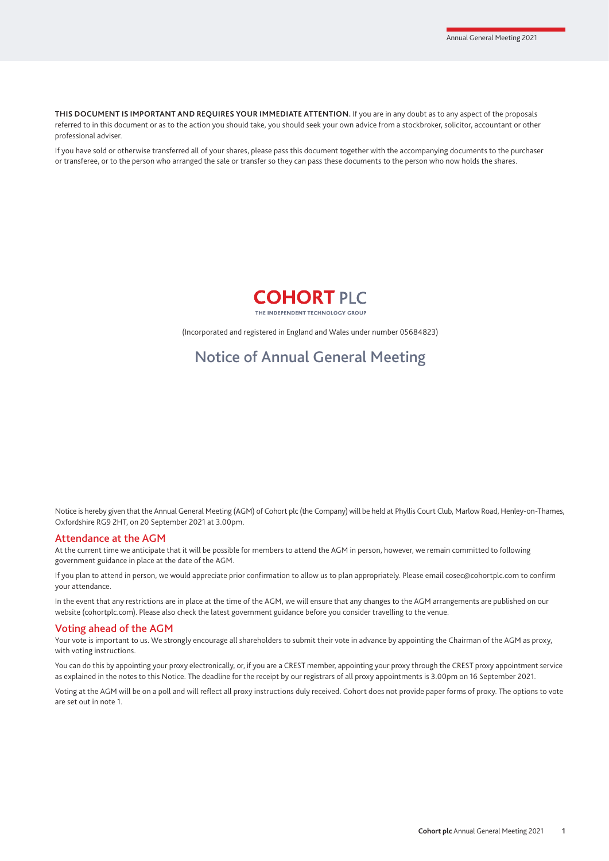**THIS DOCUMENT IS IMPORTANT AND REQUIRES YOUR IMMEDIATE ATTENTION.** If you are in any doubt as to any aspect of the proposals referred to in this document or as to the action you should take, you should seek your own advice from a stockbroker, solicitor, accountant or other professional adviser.

If you have sold or otherwise transferred all of your shares, please pass this document together with the accompanying documents to the purchaser or transferee, or to the person who arranged the sale or transfer so they can pass these documents to the person who now holds the shares.



(Incorporated and registered in England and Wales under number 05684823)

# Notice of Annual General Meeting

Notice is hereby given that the Annual General Meeting (AGM) of Cohort plc (the Company) will be held at Phyllis Court Club, Marlow Road, Henley-on-Thames, Oxfordshire RG9 2HT, on 20 September 2021 at 3.00pm.

#### Attendance at the AGM

At the current time we anticipate that it will be possible for members to attend the AGM in person, however, we remain committed to following government guidance in place at the date of the AGM.

If you plan to attend in person, we would appreciate prior confirmation to allow us to plan appropriately. Please email cosec@cohortplc.com to confirm your attendance.

In the event that any restrictions are in place at the time of the AGM, we will ensure that any changes to the AGM arrangements are published on our website (cohortplc.com). Please also check the latest government guidance before you consider travelling to the venue.

#### Voting ahead of the AGM

Your vote is important to us. We strongly encourage all shareholders to submit their vote in advance by appointing the Chairman of the AGM as proxy, with voting instructions.

You can do this by appointing your proxy electronically, or, if you are a CREST member, appointing your proxy through the CREST proxy appointment service as explained in the notes to this Notice. The deadline for the receipt by our registrars of all proxy appointments is 3.00pm on 16 September 2021.

Voting at the AGM will be on a poll and will reflect all proxy instructions duly received. Cohort does not provide paper forms of proxy. The options to vote are set out in note 1.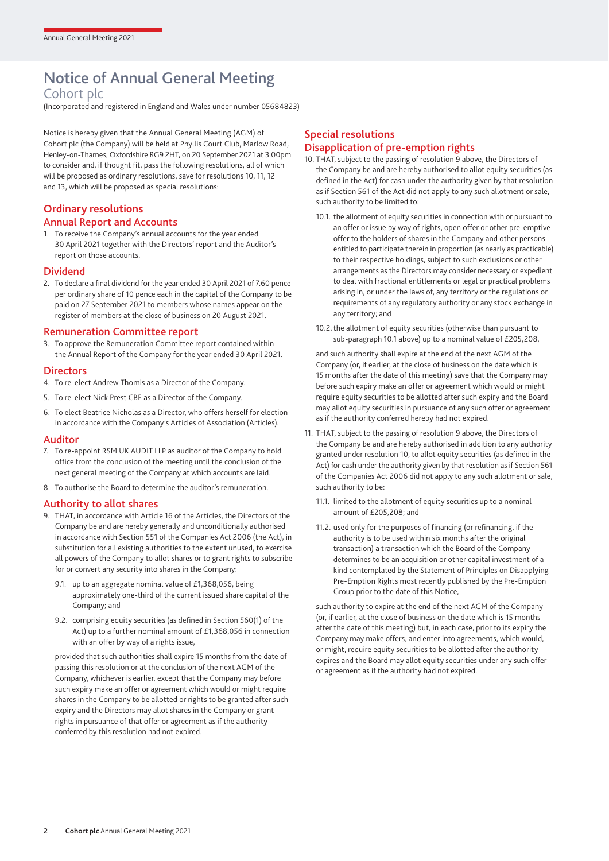# Notice of Annual General Meeting

# Cohort plc

(Incorporated and registered in England and Wales under number 05684823)

Notice is hereby given that the Annual General Meeting (AGM) of Cohort plc (the Company) will be held at Phyllis Court Club, Marlow Road, Henley-on-Thames, Oxfordshire RG9 2HT, on 20 September 2021 at 3.00pm to consider and, if thought fit, pass the following resolutions, all of which will be proposed as ordinary resolutions, save for resolutions 10, 11, 12 and 13, which will be proposed as special resolutions:

# **Ordinary resolutions**

#### Annual Report and Accounts

1. To receive the Company's annual accounts for the year ended 30 April 2021 together with the Directors' report and the Auditor's report on those accounts.

#### Dividend

2. To declare a final dividend for the year ended 30 April 2021 of 7.60 pence per ordinary share of 10 pence each in the capital of the Company to be paid on 27 September 2021 to members whose names appear on the register of members at the close of business on 20 August 2021.

### Remuneration Committee report

To approve the Remuneration Committee report contained within the Annual Report of the Company for the year ended 30 April 2021.

#### **Directors**

- 4. To re-elect Andrew Thomis as a Director of the Company.
- 5. To re-elect Nick Prest CBE as a Director of the Company.
- 6. To elect Beatrice Nicholas as a Director, who offers herself for election in accordance with the Company's Articles of Association (Articles).

#### Auditor

- 7. To re-appoint RSM UK AUDIT LLP as auditor of the Company to hold office from the conclusion of the meeting until the conclusion of the next general meeting of the Company at which accounts are laid.
- 8. To authorise the Board to determine the auditor's remuneration.

#### Authority to allot shares

- 9. THAT, in accordance with Article 16 of the Articles, the Directors of the Company be and are hereby generally and unconditionally authorised in accordance with Section 551 of the Companies Act 2006 (the Act), in substitution for all existing authorities to the extent unused, to exercise all powers of the Company to allot shares or to grant rights to subscribe for or convert any security into shares in the Company:
	- 9.1. up to an aggregate nominal value of £1,368,056, being approximately one-third of the current issued share capital of the Company; and
	- 9.2. comprising equity securities (as defined in Section 560(1) of the Act) up to a further nominal amount of £1,368,056 in connection with an offer by way of a rights issue,

 provided that such authorities shall expire 15 months from the date of passing this resolution or at the conclusion of the next AGM of the Company, whichever is earlier, except that the Company may before such expiry make an offer or agreement which would or might require shares in the Company to be allotted or rights to be granted after such expiry and the Directors may allot shares in the Company or grant rights in pursuance of that offer or agreement as if the authority conferred by this resolution had not expired.

# **Special resolutions** Disapplication of pre-emption rights

- 10. THAT, subject to the passing of resolution 9 above, the Directors of the Company be and are hereby authorised to allot equity securities (as defined in the Act) for cash under the authority given by that resolution as if Section 561 of the Act did not apply to any such allotment or sale, such authority to be limited to:
	- 10.1. the allotment of equity securities in connection with or pursuant to an offer or issue by way of rights, open offer or other pre-emptive offer to the holders of shares in the Company and other persons entitled to participate therein in proportion (as nearly as practicable) to their respective holdings, subject to such exclusions or other arrangements as the Directors may consider necessary or expedient to deal with fractional entitlements or legal or practical problems arising in, or under the laws of, any territory or the regulations or requirements of any regulatory authority or any stock exchange in any territory; and
	- 10.2. the allotment of equity securities (otherwise than pursuant to sub-paragraph 10.1 above) up to a nominal value of £205,208,

 and such authority shall expire at the end of the next AGM of the Company (or, if earlier, at the close of business on the date which is 15 months after the date of this meeting) save that the Company may before such expiry make an offer or agreement which would or might require equity securities to be allotted after such expiry and the Board may allot equity securities in pursuance of any such offer or agreement as if the authority conferred hereby had not expired.

- 11. THAT, subject to the passing of resolution 9 above, the Directors of the Company be and are hereby authorised in addition to any authority granted under resolution 10, to allot equity securities (as defined in the Act) for cash under the authority given by that resolution as if Section 561 of the Companies Act 2006 did not apply to any such allotment or sale, such authority to be:
	- 11.1. limited to the allotment of equity securities up to a nominal amount of £205,208; and
	- 11.2. used only for the purposes of financing (or refinancing, if the authority is to be used within six months after the original transaction) a transaction which the Board of the Company determines to be an acquisition or other capital investment of a kind contemplated by the Statement of Principles on Disapplying Pre-Emption Rights most recently published by the Pre-Emption Group prior to the date of this Notice,

 such authority to expire at the end of the next AGM of the Company (or, if earlier, at the close of business on the date which is 15 months after the date of this meeting) but, in each case, prior to its expiry the Company may make offers, and enter into agreements, which would, or might, require equity securities to be allotted after the authority expires and the Board may allot equity securities under any such offer or agreement as if the authority had not expired.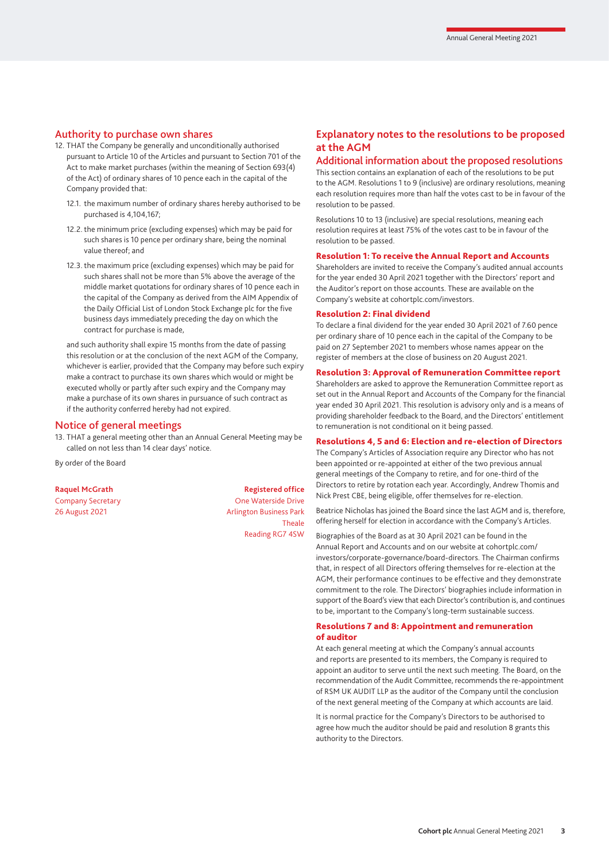#### Authority to purchase own shares

- 12. THAT the Company be generally and unconditionally authorised pursuant to Article 10 of the Articles and pursuant to Section 701 of the Act to make market purchases (within the meaning of Section 693(4) of the Act) of ordinary shares of 10 pence each in the capital of the Company provided that:
	- 12.1. the maximum number of ordinary shares hereby authorised to be purchased is 4,104,167;
	- 12.2. the minimum price (excluding expenses) which may be paid for such shares is 10 pence per ordinary share, being the nominal value thereof; and
	- 12.3. the maximum price (excluding expenses) which may be paid for such shares shall not be more than 5% above the average of the middle market quotations for ordinary shares of 10 pence each in the capital of the Company as derived from the AIM Appendix of the Daily Official List of London Stock Exchange plc for the five business days immediately preceding the day on which the contract for purchase is made,

 and such authority shall expire 15 months from the date of passing this resolution or at the conclusion of the next AGM of the Company, whichever is earlier, provided that the Company may before such expiry make a contract to purchase its own shares which would or might be executed wholly or partly after such expiry and the Company may make a purchase of its own shares in pursuance of such contract as if the authority conferred hereby had not expired.

#### Notice of general meetings

13. THAT a general meeting other than an Annual General Meeting may be called on not less than 14 clear days' notice.

By order of the Board

**Raquel McGrath Registered office** Company Secretary **Company Secretary Company Secretary Company Secretary Company Secretary Company Company Company Company Company Company Company Company Company Company Company Company Com** 26 August 2021 **Arlington Business Park** Theale Reading RG7 4SW

# **Explanatory notes to the resolutions to be proposed at the AGM**

#### Additional information about the proposed resolutions

This section contains an explanation of each of the resolutions to be put to the AGM. Resolutions 1 to 9 (inclusive) are ordinary resolutions, meaning each resolution requires more than half the votes cast to be in favour of the resolution to be passed.

Resolutions 10 to 13 (inclusive) are special resolutions, meaning each resolution requires at least 75% of the votes cast to be in favour of the resolution to be passed.

#### Resolution 1: To receive the Annual Report and Accounts

Shareholders are invited to receive the Company's audited annual accounts for the year ended 30 April 2021 together with the Directors' report and the Auditor's report on those accounts. These are available on the Company's website at cohortplc.com/investors.

#### Resolution 2: Final dividend

To declare a final dividend for the year ended 30 April 2021 of 7.60 pence per ordinary share of 10 pence each in the capital of the Company to be paid on 27 September 2021 to members whose names appear on the register of members at the close of business on 20 August 2021.

#### Resolution 3: Approval of Remuneration Committee report

Shareholders are asked to approve the Remuneration Committee report as set out in the Annual Report and Accounts of the Company for the financial year ended 30 April 2021. This resolution is advisory only and is a means of providing shareholder feedback to the Board, and the Directors' entitlement to remuneration is not conditional on it being passed.

#### Resolutions 4, 5 and 6: Election and re-election of Directors

The Company's Articles of Association require any Director who has not been appointed or re-appointed at either of the two previous annual general meetings of the Company to retire, and for one-third of the Directors to retire by rotation each year. Accordingly, Andrew Thomis and Nick Prest CBE, being eligible, offer themselves for re-election.

Beatrice Nicholas has joined the Board since the last AGM and is, therefore, offering herself for election in accordance with the Company's Articles.

#### Biographies of the Board as at 30 April 2021 can be found in the

Annual Report and Accounts and on our website at cohortplc.com/ investors/corporate-governance/board-directors. The Chairman confirms that, in respect of all Directors offering themselves for re-election at the AGM, their performance continues to be effective and they demonstrate commitment to the role. The Directors' biographies include information in support of the Board's view that each Director's contribution is, and continues to be, important to the Company's long-term sustainable success.

#### Resolutions 7 and 8: Appointment and remuneration of auditor

At each general meeting at which the Company's annual accounts and reports are presented to its members, the Company is required to appoint an auditor to serve until the next such meeting. The Board, on the recommendation of the Audit Committee, recommends the re-appointment of RSM UK AUDIT LLP as the auditor of the Company until the conclusion of the next general meeting of the Company at which accounts are laid.

It is normal practice for the Company's Directors to be authorised to agree how much the auditor should be paid and resolution 8 grants this authority to the Directors.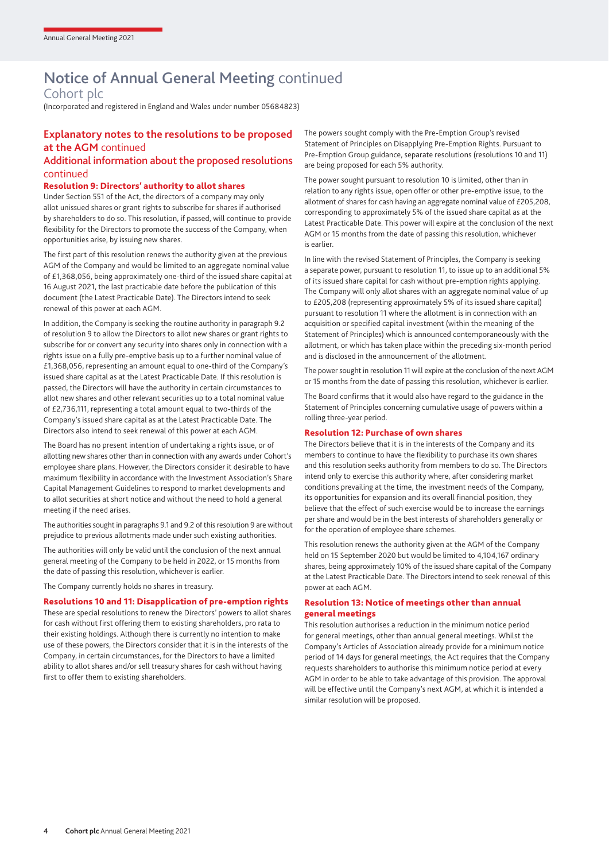# Notice of Annual General Meeting continued

Cohort plc

(Incorporated and registered in England and Wales under number 05684823)

# **Explanatory notes to the resolutions to be proposed at the AGM** continued

### Additional information about the proposed resolutions continued

#### Resolution 9: Directors' authority to allot shares

Under Section 551 of the Act, the directors of a company may only allot unissued shares or grant rights to subscribe for shares if authorised by shareholders to do so. This resolution, if passed, will continue to provide flexibility for the Directors to promote the success of the Company, when opportunities arise, by issuing new shares.

The first part of this resolution renews the authority given at the previous AGM of the Company and would be limited to an aggregate nominal value of £1,368,056, being approximately one-third of the issued share capital at 16 August 2021, the last practicable date before the publication of this document (the Latest Practicable Date). The Directors intend to seek renewal of this power at each AGM.

In addition, the Company is seeking the routine authority in paragraph 9.2 of resolution 9 to allow the Directors to allot new shares or grant rights to subscribe for or convert any security into shares only in connection with a rights issue on a fully pre-emptive basis up to a further nominal value of £1,368,056, representing an amount equal to one-third of the Company's issued share capital as at the Latest Practicable Date. If this resolution is passed, the Directors will have the authority in certain circumstances to allot new shares and other relevant securities up to a total nominal value of £2,736,111, representing a total amount equal to two-thirds of the Company's issued share capital as at the Latest Practicable Date. The Directors also intend to seek renewal of this power at each AGM.

The Board has no present intention of undertaking a rights issue, or of allotting new shares other than in connection with any awards under Cohort's employee share plans. However, the Directors consider it desirable to have maximum flexibility in accordance with the Investment Association's Share Capital Management Guidelines to respond to market developments and to allot securities at short notice and without the need to hold a general meeting if the need arises.

The authorities sought in paragraphs 9.1 and 9.2 of this resolution 9 are without prejudice to previous allotments made under such existing authorities.

The authorities will only be valid until the conclusion of the next annual general meeting of the Company to be held in 2022, or 15 months from the date of passing this resolution, whichever is earlier.

The Company currently holds no shares in treasury.

#### Resolutions 10 and 11: Disapplication of pre-emption rights

These are special resolutions to renew the Directors' powers to allot shares for cash without first offering them to existing shareholders, pro rata to their existing holdings. Although there is currently no intention to make use of these powers, the Directors consider that it is in the interests of the Company, in certain circumstances, for the Directors to have a limited ability to allot shares and/or sell treasury shares for cash without having first to offer them to existing shareholders.

The powers sought comply with the Pre-Emption Group's revised Statement of Principles on Disapplying Pre-Emption Rights. Pursuant to Pre-Emption Group guidance, separate resolutions (resolutions 10 and 11) are being proposed for each 5% authority.

The power sought pursuant to resolution 10 is limited, other than in relation to any rights issue, open offer or other pre-emptive issue, to the allotment of shares for cash having an aggregate nominal value of £205,208, corresponding to approximately 5% of the issued share capital as at the Latest Practicable Date. This power will expire at the conclusion of the next AGM or 15 months from the date of passing this resolution, whichever is earlier.

In line with the revised Statement of Principles, the Company is seeking a separate power, pursuant to resolution 11, to issue up to an additional 5% of its issued share capital for cash without pre-emption rights applying. The Company will only allot shares with an aggregate nominal value of up to £205,208 (representing approximately 5% of its issued share capital) pursuant to resolution 11 where the allotment is in connection with an acquisition or specified capital investment (within the meaning of the Statement of Principles) which is announced contemporaneously with the allotment, or which has taken place within the preceding six-month period and is disclosed in the announcement of the allotment.

The power sought in resolution 11 will expire at the conclusion of the next AGM or 15 months from the date of passing this resolution, whichever is earlier.

The Board confirms that it would also have regard to the guidance in the Statement of Principles concerning cumulative usage of powers within a rolling three-year period.

#### Resolution 12: Purchase of own shares

The Directors believe that it is in the interests of the Company and its members to continue to have the flexibility to purchase its own shares and this resolution seeks authority from members to do so. The Directors intend only to exercise this authority where, after considering market conditions prevailing at the time, the investment needs of the Company, its opportunities for expansion and its overall financial position, they believe that the effect of such exercise would be to increase the earnings per share and would be in the best interests of shareholders generally or for the operation of employee share schemes.

This resolution renews the authority given at the AGM of the Company held on 15 September 2020 but would be limited to 4,104,167 ordinary shares, being approximately 10% of the issued share capital of the Company at the Latest Practicable Date. The Directors intend to seek renewal of this power at each AGM.

#### Resolution 13: Notice of meetings other than annual general meetings

This resolution authorises a reduction in the minimum notice period for general meetings, other than annual general meetings. Whilst the Company's Articles of Association already provide for a minimum notice period of 14 days for general meetings, the Act requires that the Company requests shareholders to authorise this minimum notice period at every AGM in order to be able to take advantage of this provision. The approval will be effective until the Company's next AGM, at which it is intended a similar resolution will be proposed.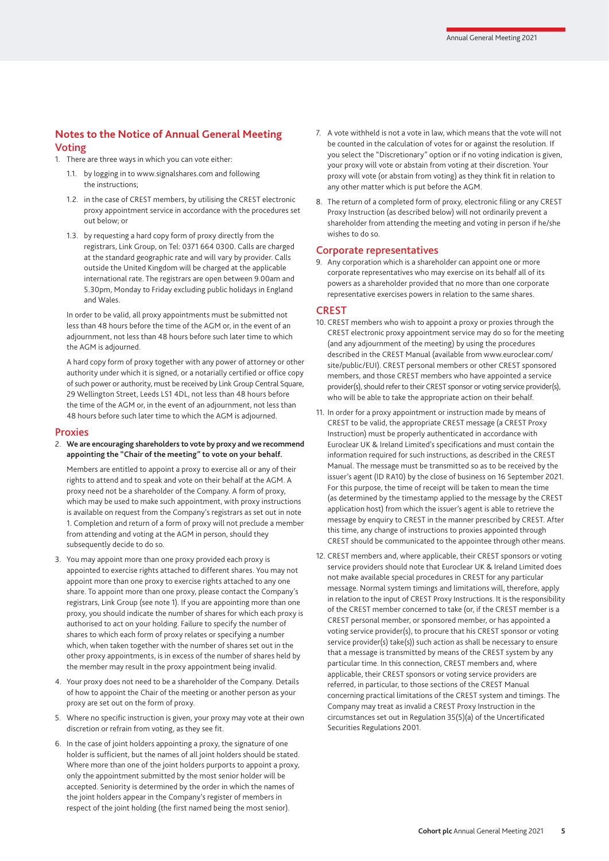## **Notes to the Notice of Annual General Meeting** Voting

1. There are three ways in which you can vote either:

- 1.1. by logging in to www.signalshares.com and following the instructions;
- 1.2. in the case of CREST members, by utilising the CREST electronic proxy appointment service in accordance with the procedures set out below; or
- 1.3. by requesting a hard copy form of proxy directly from the registrars, Link Group, on Tel: 0371 664 0300. Calls are charged at the standard geographic rate and will vary by provider. Calls outside the United Kingdom will be charged at the applicable international rate. The registrars are open between 9.00am and 5.30pm, Monday to Friday excluding public holidays in England and Wales.

 In order to be valid, all proxy appointments must be submitted not less than 48 hours before the time of the AGM or, in the event of an adjournment, not less than 48 hours before such later time to which the AGM is adjourned.

 A hard copy form of proxy together with any power of attorney or other authority under which it is signed, or a notarially certified or office copy of such power or authority, must be received by Link Group Central Square, 29 Wellington Street, Leeds LS1 4DL, not less than 48 hours before the time of the AGM or, in the event of an adjournment, not less than 48 hours before such later time to which the AGM is adjourned.

#### **Proxies**

#### 2. **We are encouraging shareholders to vote by proxy and we recommend appointing the "Chair of the meeting" to vote on your behalf.**

 Members are entitled to appoint a proxy to exercise all or any of their rights to attend and to speak and vote on their behalf at the AGM. A proxy need not be a shareholder of the Company. A form of proxy, which may be used to make such appointment, with proxy instructions is available on request from the Company's registrars as set out in note 1. Completion and return of a form of proxy will not preclude a member from attending and voting at the AGM in person, should they subsequently decide to do so.

- 3. You may appoint more than one proxy provided each proxy is appointed to exercise rights attached to different shares. You may not appoint more than one proxy to exercise rights attached to any one share. To appoint more than one proxy, please contact the Company's registrars, Link Group (see note 1). If you are appointing more than one proxy, you should indicate the number of shares for which each proxy is authorised to act on your holding. Failure to specify the number of shares to which each form of proxy relates or specifying a number which, when taken together with the number of shares set out in the other proxy appointments, is in excess of the number of shares held by the member may result in the proxy appointment being invalid.
- 4. Your proxy does not need to be a shareholder of the Company. Details of how to appoint the Chair of the meeting or another person as your proxy are set out on the form of proxy.
- 5. Where no specific instruction is given, your proxy may vote at their own discretion or refrain from voting, as they see fit.
- 6. In the case of joint holders appointing a proxy, the signature of one holder is sufficient, but the names of all joint holders should be stated. Where more than one of the joint holders purports to appoint a proxy, only the appointment submitted by the most senior holder will be accepted. Seniority is determined by the order in which the names of the joint holders appear in the Company's register of members in respect of the joint holding (the first named being the most senior).
- 7. A vote withheld is not a vote in law, which means that the vote will not be counted in the calculation of votes for or against the resolution. If you select the "Discretionary" option or if no voting indication is given, your proxy will vote or abstain from voting at their discretion. Your proxy will vote (or abstain from voting) as they think fit in relation to any other matter which is put before the AGM.
- 8. The return of a completed form of proxy, electronic filing or any CREST Proxy Instruction (as described below) will not ordinarily prevent a shareholder from attending the meeting and voting in person if he/she wishes to do so.

### Corporate representatives

9. Any corporation which is a shareholder can appoint one or more corporate representatives who may exercise on its behalf all of its powers as a shareholder provided that no more than one corporate representative exercises powers in relation to the same shares.

#### **CREST**

- 10. CREST members who wish to appoint a proxy or proxies through the CREST electronic proxy appointment service may do so for the meeting (and any adjournment of the meeting) by using the procedures described in the CREST Manual (available from www.euroclear.com/ site/public/EUI). CREST personal members or other CREST sponsored members, and those CREST members who have appointed a service provider(s), should refer to their CREST sponsor or voting service provider(s), who will be able to take the appropriate action on their behalf.
- 11. In order for a proxy appointment or instruction made by means of CREST to be valid, the appropriate CREST message (a CREST Proxy Instruction) must be properly authenticated in accordance with Euroclear UK & Ireland Limited's specifications and must contain the information required for such instructions, as described in the CREST Manual. The message must be transmitted so as to be received by the issuer's agent (ID RA10) by the close of business on 16 September 2021. For this purpose, the time of receipt will be taken to mean the time (as determined by the timestamp applied to the message by the CREST application host) from which the issuer's agent is able to retrieve the message by enquiry to CREST in the manner prescribed by CREST. After this time, any change of instructions to proxies appointed through CREST should be communicated to the appointee through other means.
- 12. CREST members and, where applicable, their CREST sponsors or voting service providers should note that Euroclear UK & Ireland Limited does not make available special procedures in CREST for any particular message. Normal system timings and limitations will, therefore, apply in relation to the input of CREST Proxy Instructions. It is the responsibility of the CREST member concerned to take (or, if the CREST member is a CREST personal member, or sponsored member, or has appointed a voting service provider(s), to procure that his CREST sponsor or voting service provider(s) take(s)) such action as shall be necessary to ensure that a message is transmitted by means of the CREST system by any particular time. In this connection, CREST members and, where applicable, their CREST sponsors or voting service providers are referred, in particular, to those sections of the CREST Manual concerning practical limitations of the CREST system and timings. The Company may treat as invalid a CREST Proxy Instruction in the circumstances set out in Regulation 35(5)(a) of the Uncertificated Securities Regulations 2001.